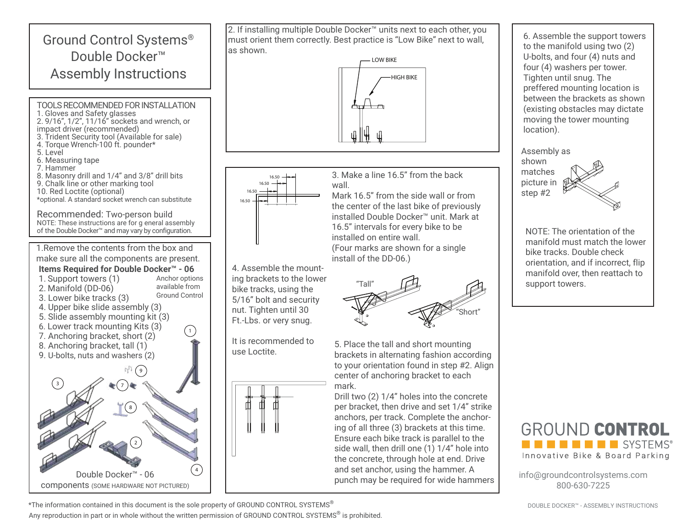## Ground Control Systems® Double Docker™ Assembly Instructions TOOLS RECOMMENDED FOR INSTALLATION 1. Gloves and Safety glasses 2. 9/16", 1/2", 11/16" sockets and wrench, or impact driver (recommended) 3. Trident Security tool (Available for sale) 4. Torque Wrench-100 ft. pounder\* 5. Level

- 6. Measuring tape
- 7. Hammer
- 8. Masonry drill and 1/4" and 3/8" drill bits
- 9. Chalk line or other marking tool
- 10. Red Loctite (optional)
- \*optional. A standard socket wrench can substitute

Recommended: Two-person build NOTE: These instructions are for g eneral assembly of the Double Docker™ and may vary by configuration.

1.Remove the contents from the box and make sure all the components are present.

## **Items Required for Double Docker™ - 06** 1. Support towers (1) 2. Manifold (DD-06) Anchor options available from

- 3. Lower bike tracks (3)
- 4. Upper bike slide assembly (3)
- 5. Slide assembly mounting kit (3)
- 
- 6. Lower track mounting Kits (3)
- 7. Anchoring bracket, short (2)
- 8. Anchoring bracket, tall (1)
- 9. U-bolts, nuts and washers (2)





2. If installing multiple Double Docker™ units next to each other, you must orient them correctly. Best practice is "Low Bike" next to wall, as shown.





4. Assemble the mounting brackets to the lower bike tracks, using the 5/16" bolt and security nut. Tighten until 30 Ft.-Lbs. or very snug.

It is recommended to use Loctite.



3. Make a line 16.5" from the back wall

Mark 16.5" from the side wall or from the center of the last bike of previously installed Double Docker™ unit. Mark at 16.5" intervals for every bike to be installed on entire wall. (Four marks are shown for a single install of the DD-06.)



5. Place the tall and short mounting brackets in alternating fashion according to your orientation found in step #2. Align center of anchoring bracket to each mark.

Drill two (2) 1/4" holes into the concrete per bracket, then drive and set 1/4" strike anchors, per track. Complete the anchoring of all three (3) brackets at this time. Ensure each bike track is parallel to the side wall, then drill one (1) 1/4" hole into the concrete, through hole at end. Drive and set anchor, using the hammer. A punch may be required for wide hammers

6. Assemble the support towers to the manifold using two (2) U-bolts, and four (4) nuts and four (4) washers per tower. Tighten until snug. The preffered mounting location is between the brackets as shown (existing obstacles may dictate moving the tower mounting location).



NOTE: The orientation of the manifold must match the lower bike tracks. Double check orientation, and if incorrect, flip manifold over, then reattach to support towers.



info@groundcontrolsystems.com 800-630-7225

DOUBLE DOCKER™ - ASSEMBLY INSTRUCTIONS

\*The information contained in this document is the sole property of GROUND CONTROL SYSTEMS<sup>®</sup> Any reproduction in part or in whole without the written permission of GROUND CONTROL SYSTEMS<sup>®</sup> is prohibited.

Ground Control

 $\left(\begin{array}{c} 1 \end{array}\right)$